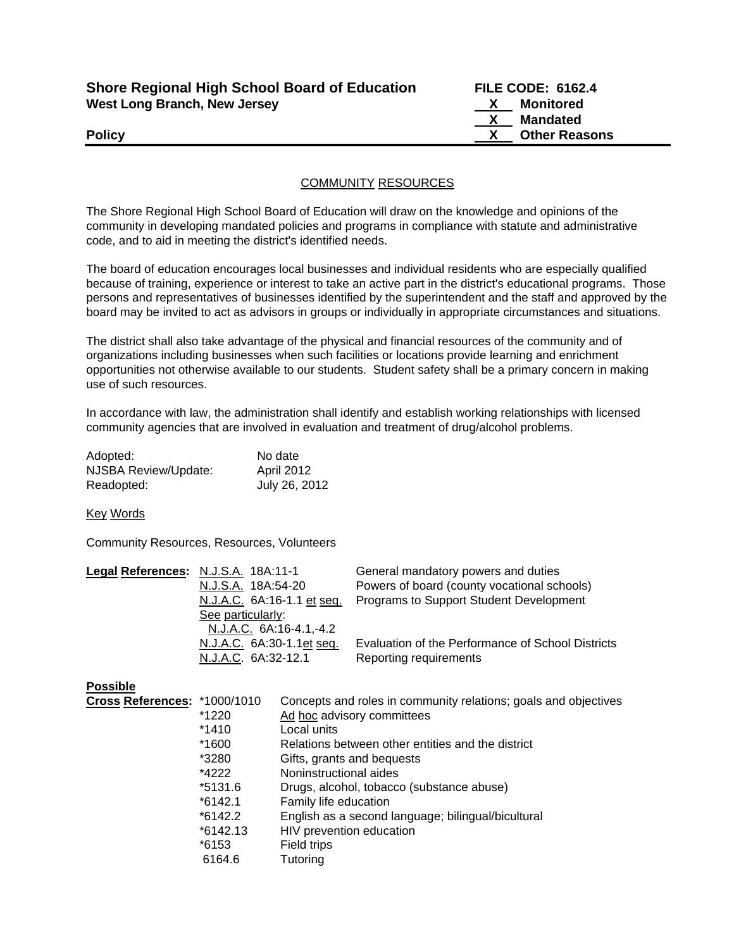| <b>Shore Regional High School Board of Education</b> |
|------------------------------------------------------|
| <b>West Long Branch, New Jersey</b>                  |

**FILE CODE: 6162.4 X** Monitored  **X Mandated Policy X Other Reasons**

## COMMUNITY RESOURCES

The Shore Regional High School Board of Education will draw on the knowledge and opinions of the community in developing mandated policies and programs in compliance with statute and administrative code, and to aid in meeting the district's identified needs.

The board of education encourages local businesses and individual residents who are especially qualified because of training, experience or interest to take an active part in the district's educational programs. Those persons and representatives of businesses identified by the superintendent and the staff and approved by the board may be invited to act as advisors in groups or individually in appropriate circumstances and situations.

The district shall also take advantage of the physical and financial resources of the community and of organizations including businesses when such facilities or locations provide learning and enrichment opportunities not otherwise available to our students. Student safety shall be a primary concern in making use of such resources.

In accordance with law, the administration shall identify and establish working relationships with licensed community agencies that are involved in evaluation and treatment of drug/alcohol problems.

| Adopted:             | No date       |
|----------------------|---------------|
| NJSBA Review/Update: | April 2012    |
| Readopted:           | July 26, 2012 |

Key Words

Community Resources, Resources, Volunteers

| Legal References: N.J.S.A. 18A:11-1 |                            | General mandatory powers and duties               |
|-------------------------------------|----------------------------|---------------------------------------------------|
|                                     | N.J.S.A. 18A:54-20         | Powers of board (county vocational schools)       |
|                                     | N.J.A.C. 6A:16-1.1 et seq. | Programs to Support Student Development           |
|                                     | See particularly:          |                                                   |
|                                     | N.J.A.C. 6A:16-4.1,-4.2    |                                                   |
|                                     | N.J.A.C. 6A:30-1.1et seq.  | Evaluation of the Performance of School Districts |
|                                     | N.J.A.C. 6A:32-12.1        | Reporting requirements                            |

## **Possible**

| Cross References: *1000/1010 |            | Concepts and roles in community relations; goals and objectives |
|------------------------------|------------|-----------------------------------------------------------------|
|                              | *1220      | Ad hoc advisory committees                                      |
|                              | *1410      | Local units                                                     |
|                              | *1600      | Relations between other entities and the district               |
|                              | *3280      | Gifts, grants and bequests                                      |
|                              | *4222      | Noninstructional aides                                          |
|                              | *5131.6    | Drugs, alcohol, tobacco (substance abuse)                       |
|                              | $*6142.1$  | Family life education                                           |
|                              | $*6142.2$  | English as a second language; bilingual/bicultural              |
|                              | $*6142.13$ | HIV prevention education                                        |
|                              | *6153      | Field trips                                                     |
|                              | 6164.6     | Tutoring                                                        |
|                              |            |                                                                 |